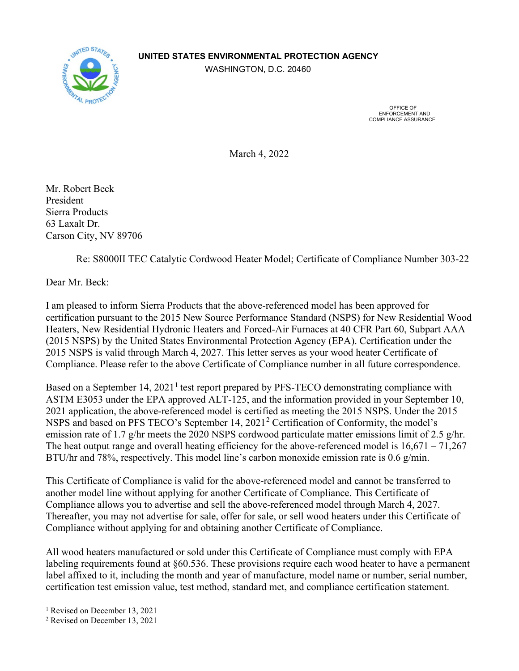## **UNITED STATES ENVIRONMENTAL PROTECTION AGENCY**



WASHINGTON, D.C. 20460

 OFFICE OF ENFORCEMENT AND COMPLIANCE ASSURANCE

March 4, 2022

Mr. Robert Beck President Sierra Products 63 Laxalt Dr. Carson City, NV 89706

Re: S8000II TEC Catalytic Cordwood Heater Model; Certificate of Compliance Number 303-22

Dear Mr. Beck:

I am pleased to inform Sierra Products that the above-referenced model has been approved for certification pursuant to the 2015 New Source Performance Standard (NSPS) for New Residential Wood Heaters, New Residential Hydronic Heaters and Forced-Air Furnaces at 40 CFR Part 60, Subpart AAA (2015 NSPS) by the United States Environmental Protection Agency (EPA). Certification under the 2015 NSPS is valid through March 4, 2027. This letter serves as your wood heater Certificate of Compliance. Please refer to the above Certificate of Compliance number in all future correspondence.

Based on a September [1](#page-0-0)4,  $2021<sup>1</sup>$  test report prepared by PFS-TECO demonstrating compliance with ASTM E3053 under the EPA approved ALT-125, and the information provided in your September 10, 2021 application, the above-referenced model is certified as meeting the 2015 NSPS. Under the 2015 NSPS and based on PFS TECO's September 14, [2](#page-0-1)021<sup>2</sup> Certification of Conformity, the model's emission rate of 1.7 g/hr meets the 2020 NSPS cordwood particulate matter emissions limit of 2.5 g/hr. The heat output range and overall heating efficiency for the above-referenced model is  $16,671 - 71,267$ BTU/hr and 78%, respectively. This model line's carbon monoxide emission rate is 0.6 g/min.

This Certificate of Compliance is valid for the above-referenced model and cannot be transferred to another model line without applying for another Certificate of Compliance. This Certificate of Compliance allows you to advertise and sell the above-referenced model through March 4, 2027. Thereafter, you may not advertise for sale, offer for sale, or sell wood heaters under this Certificate of Compliance without applying for and obtaining another Certificate of Compliance.

All wood heaters manufactured or sold under this Certificate of Compliance must comply with EPA labeling requirements found at §60.536. These provisions require each wood heater to have a permanent label affixed to it, including the month and year of manufacture, model name or number, serial number, certification test emission value, test method, standard met, and compliance certification statement.

<span id="page-0-0"></span><sup>&</sup>lt;sup>1</sup> Revised on December 13, 2021

<span id="page-0-1"></span><sup>2</sup> Revised on December 13, 2021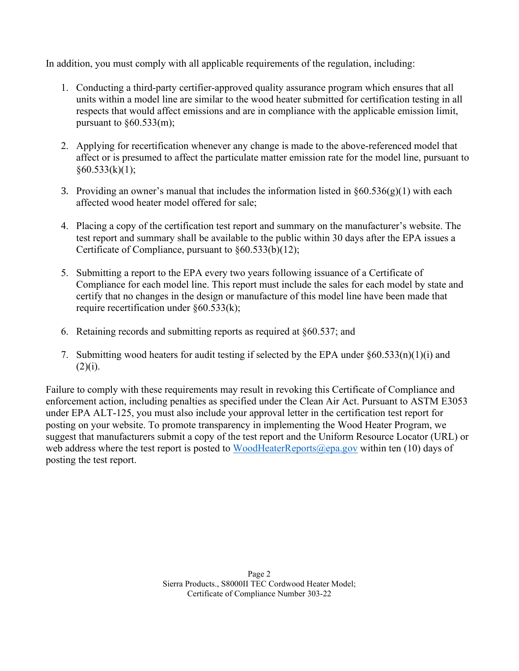In addition, you must comply with all applicable requirements of the regulation, including:

- 1. Conducting a third-party certifier-approved quality assurance program which ensures that all units within a model line are similar to the wood heater submitted for certification testing in all respects that would affect emissions and are in compliance with the applicable emission limit, pursuant to  $§60.533$ (m);
- 2. Applying for recertification whenever any change is made to the above-referenced model that affect or is presumed to affect the particulate matter emission rate for the model line, pursuant to  $\delta$ 60.533(k)(1);
- 3. Providing an owner's manual that includes the information listed in  $\S 60.536(g)(1)$  with each affected wood heater model offered for sale;
- 4. Placing a copy of the certification test report and summary on the manufacturer's website. The test report and summary shall be available to the public within 30 days after the EPA issues a Certificate of Compliance, pursuant to §60.533(b)(12);
- 5. Submitting a report to the EPA every two years following issuance of a Certificate of Compliance for each model line. This report must include the sales for each model by state and certify that no changes in the design or manufacture of this model line have been made that require recertification under §60.533(k);
- 6. Retaining records and submitting reports as required at §60.537; and
- 7. Submitting wood heaters for audit testing if selected by the EPA under §60.533(n)(1)(i) and  $(2)(i).$

Failure to comply with these requirements may result in revoking this Certificate of Compliance and enforcement action, including penalties as specified under the Clean Air Act. Pursuant to ASTM E3053 under EPA ALT-125, you must also include your approval letter in the certification test report for posting on your website. To promote transparency in implementing the Wood Heater Program, we suggest that manufacturers submit a copy of the test report and the Uniform Resource Locator (URL) or web address where the test report is posted to [WoodHeaterReports@epa.gov](mailto:WoodHeaterReports@epa.gov) within ten (10) days of posting the test report.